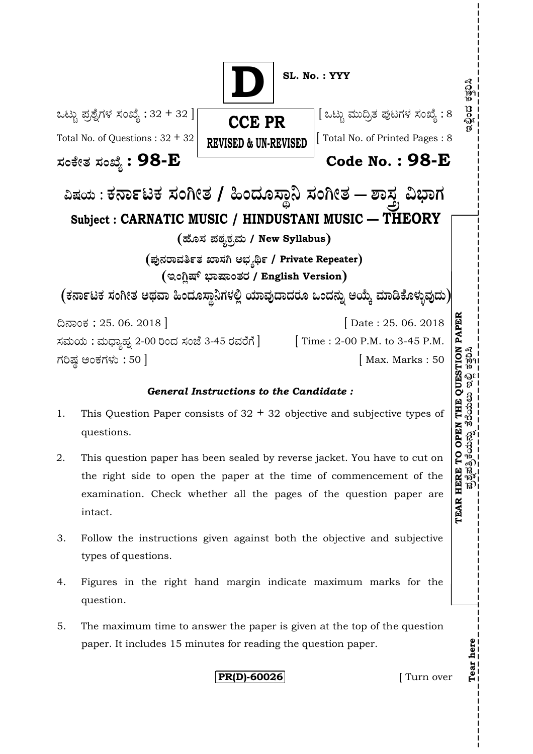

#### *General Instructions to the Candidate :*

- 1. This Question Paper consists of  $32 + 32$  objective and subjective types of questions.
- 2. This question paper has been sealed by reverse jacket. You have to cut on the right side to open the paper at the time of commencement of the examination. Check whether all the pages of the question paper are intact.
- 3. Follow the instructions given against both the objective and subjective types of questions.
- 4. Figures in the right hand margin indicate maximum marks for the question.
- 5. The maximum time to answer the paper is given at the top of the question paper. It includes 15 minutes for reading the question paper.

**PR(D)-60026 [** Turn over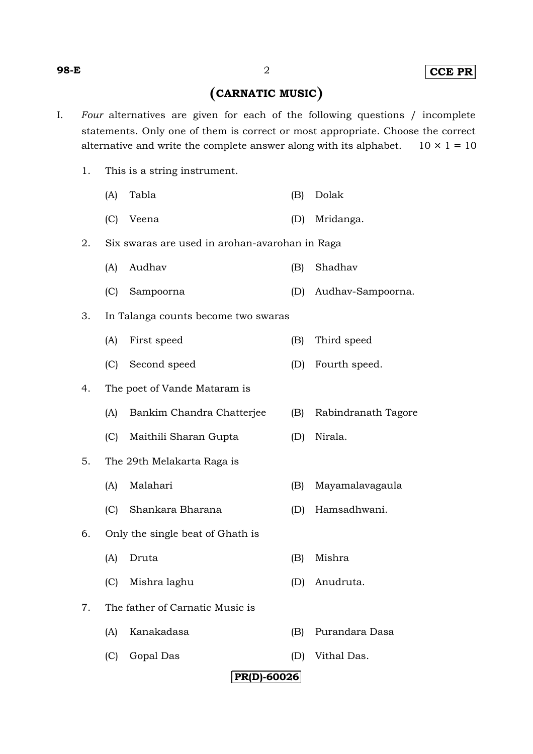# **CARNATIC MUSIC**

- I. *Four* alternatives are given for each of the following questions / incomplete statements. Only one of them is correct or most appropriate. Choose the correct alternative and write the complete answer along with its alphabet.  $10 \times 1 = 10$ 
	- 1. This is a string instrument.
		- (A) Tabla (B) Dolak
		- (C) Veena (D) Mridanga.

#### 2. Six swaras are used in arohan-avarohan in Raga

- (A) Audhav (B) Shadhav
- (C) Sampoorna (D) Audhav-Sampoorna.
- 3. In Talanga counts become two swaras
	- (A) First speed (B) Third speed
	- (C) Second speed (D) Fourth speed.
- 4. The poet of Vande Mataram is
	- (A) Bankim Chandra Chatterjee (B) Rabindranath Tagore
	- (C) Maithili Sharan Gupta (D) Nirala.
- 5. The 29th Melakarta Raga is
	- (A) Malahari (B) Mayamalavagaula
	- (C) Shankara Bharana (D) Hamsadhwani.
- 6. Only the single beat of Ghath is
	- (A) Druta (B) Mishra
	- (C) Mishra laghu (D) Anudruta.
- 7. The father of Carnatic Music is
	- (A) Kanakadasa (B) Purandara Dasa
	- (C) Gopal Das (D) Vithal Das.

## **PR(D)-60026**

#### **98-E** 2 **CCE PR**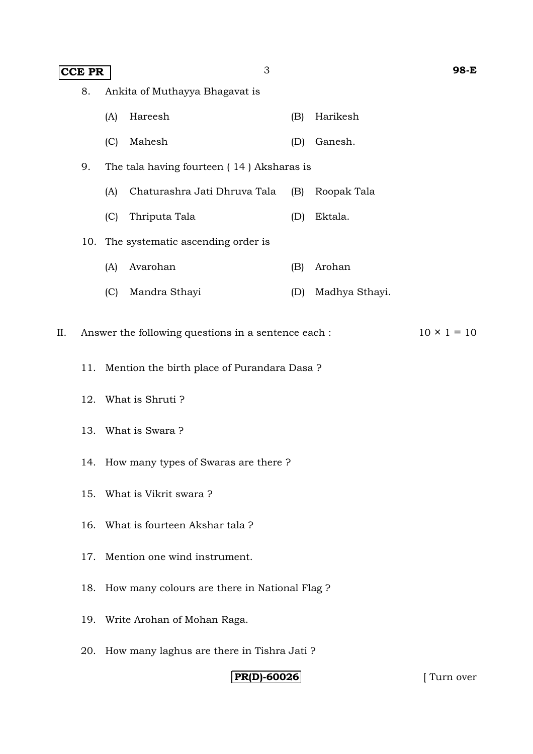| <b>CCE PR</b> |                                      |                                                                           |                                           |     |                | 98-E |  |  |  |
|---------------|--------------------------------------|---------------------------------------------------------------------------|-------------------------------------------|-----|----------------|------|--|--|--|
|               | 8.<br>Ankita of Muthayya Bhagavat is |                                                                           |                                           |     |                |      |  |  |  |
|               |                                      | (A)                                                                       | Hareesh                                   | (B) | Harikesh       |      |  |  |  |
|               |                                      | (C)                                                                       | Mahesh                                    | (D) | Ganesh.        |      |  |  |  |
|               | 9.                                   |                                                                           | The tala having fourteen (14) Aksharas is |     |                |      |  |  |  |
|               |                                      | (A)                                                                       | Chaturashra Jati Dhruva Tala              | (B) | Roopak Tala    |      |  |  |  |
|               |                                      | (C)                                                                       | Thriputa Tala                             | (D) | Ektala.        |      |  |  |  |
|               | 10.                                  | The systematic ascending order is                                         |                                           |     |                |      |  |  |  |
|               |                                      | (A)                                                                       | Avarohan                                  | (B) | Arohan         |      |  |  |  |
|               |                                      | (C)                                                                       | Mandra Sthayi                             | (D) | Madhya Sthayi. |      |  |  |  |
| II.           |                                      | $10 \times 1 = 10$<br>Answer the following questions in a sentence each : |                                           |     |                |      |  |  |  |
|               | 11.                                  | Mention the birth place of Purandara Dasa?                                |                                           |     |                |      |  |  |  |
|               | 12.                                  | What is Shruti?                                                           |                                           |     |                |      |  |  |  |
|               |                                      | 13. What is Swara?                                                        |                                           |     |                |      |  |  |  |
|               |                                      | 14. How many types of Swaras are there?                                   |                                           |     |                |      |  |  |  |
|               | 15.                                  | What is Vikrit swara ?                                                    |                                           |     |                |      |  |  |  |
|               | 16.                                  | What is fourteen Akshar tala?                                             |                                           |     |                |      |  |  |  |
|               | 17.                                  | Mention one wind instrument.                                              |                                           |     |                |      |  |  |  |
|               | 18.                                  | How many colours are there in National Flag ?                             |                                           |     |                |      |  |  |  |
|               | 19.                                  | Write Arohan of Mohan Raga.                                               |                                           |     |                |      |  |  |  |
|               | 20.                                  | How many laghus are there in Tishra Jati ?                                |                                           |     |                |      |  |  |  |

**PR(D)-60026** [ Turn over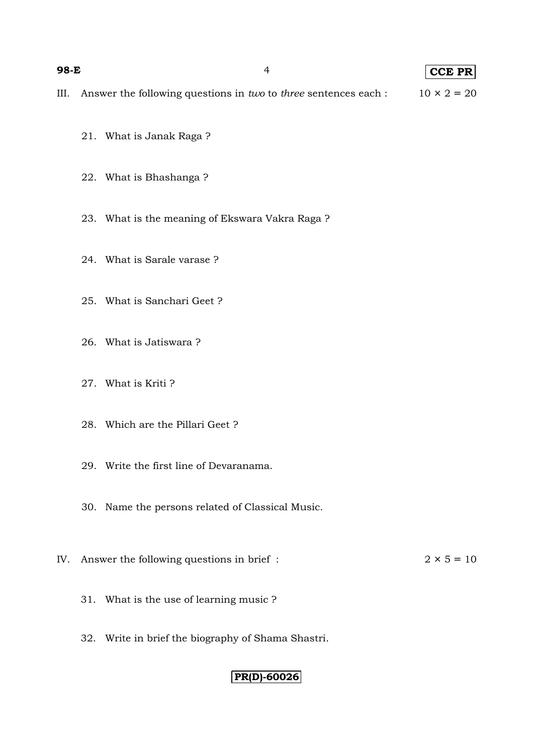#### **98-E** 4 **CCE PR**

- III. Answer the following questions in *two* to *three* sentences each :  $10 \times 2 = 20$ 
	- 21. What is Janak Raga ?
	- 22. What is Bhashanga ?
	- 23. What is the meaning of Ekswara Vakra Raga ?
	- 24. What is Sarale varase ?
	- 25. What is Sanchari Geet ?
	- 26. What is Jatiswara ?
	- 27. What is Kriti ?
	- 28. Which are the Pillari Geet ?
	- 29. Write the first line of Devaranama.
	- 30. Name the persons related of Classical Music.
- IV. Answer the following questions in brief :  $2 \times 5 = 10$ 
	- 31. What is the use of learning music ?
	- 32. Write in brief the biography of Shama Shastri.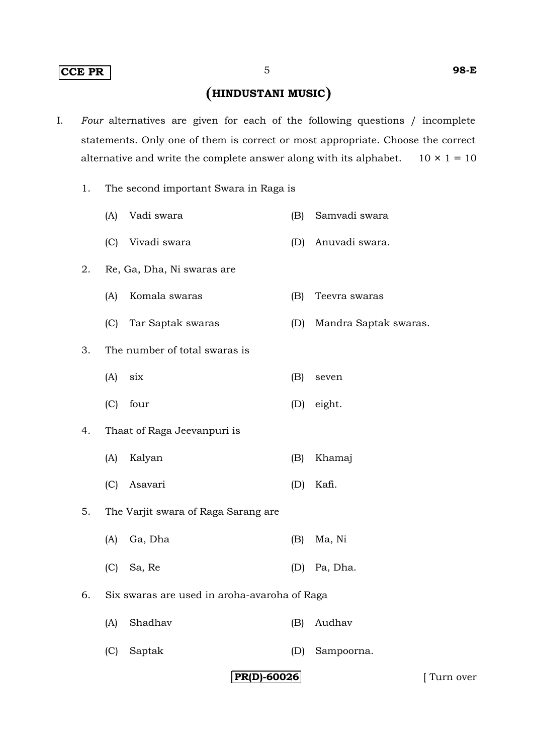#### **CCE PR** 5 **98-E**

# **HINDUSTANI MUSIC**

- I. *Four* alternatives are given for each of the following questions / incomplete statements. Only one of them is correct or most appropriate. Choose the correct alternative and write the complete answer along with its alphabet.  $10 \times 1 = 10$ 
	- 1. The second important Swara in Raga is
		- (A) Vadi swara (B) Samvadi swara
		- (C) Vivadi swara (D) Anuvadi swara.
	- 2. Re, Ga, Dha, Ni swaras are
		- (A) Komala swaras (B) Teevra swaras
		- (C) Tar Saptak swaras (D) Mandra Saptak swaras.
	- 3. The number of total swaras is
		- (A) six (B) seven
		- (C) four (D) eight.
	- 4. Thaat of Raga Jeevanpuri is
		- (A) Kalyan (B) Khamaj
		- (C) Asavari (D) Kafi.
	- 5. The Varjit swara of Raga Sarang are
		- (A) Ga, Dha (B) Ma, Ni
		- (C) Sa, Re (D) Pa, Dha.
	- 6. Six swaras are used in aroha-avaroha of Raga
		- (A) Shadhav (B) Audhav
		- (C) Saptak (D) Sampoorna.

#### **PR(D)-60026** [ Turn over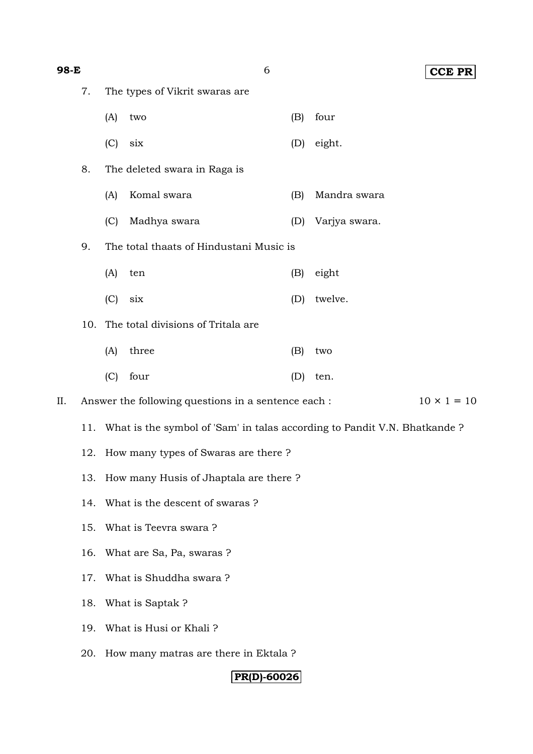| 98-E                               |                                                                           |                                                                          | 6            |     | <b>CCE PR</b> |  |  |  |
|------------------------------------|---------------------------------------------------------------------------|--------------------------------------------------------------------------|--------------|-----|---------------|--|--|--|
|                                    | 7.                                                                        | The types of Vikrit swaras are                                           |              |     |               |  |  |  |
|                                    |                                                                           | (A)                                                                      | two          | (B) | four          |  |  |  |
|                                    |                                                                           | (C)                                                                      | six          | (D) | eight.        |  |  |  |
| 8.<br>The deleted swara in Raga is |                                                                           |                                                                          |              |     |               |  |  |  |
|                                    |                                                                           | (A)                                                                      | Komal swara  | (B) | Mandra swara  |  |  |  |
|                                    |                                                                           | (C)                                                                      | Madhya swara | (D) | Varjya swara. |  |  |  |
|                                    | 9.                                                                        | The total thaats of Hindustani Music is                                  |              |     |               |  |  |  |
|                                    |                                                                           | (A)                                                                      | ten          | (B) | eight         |  |  |  |
|                                    |                                                                           | (C)                                                                      | six          | (D) | twelve.       |  |  |  |
|                                    | The total divisions of Tritala are<br>10.                                 |                                                                          |              |     |               |  |  |  |
|                                    |                                                                           | (A)                                                                      | three        | (B) | two           |  |  |  |
|                                    |                                                                           | (C)                                                                      | four         | (D) | ten.          |  |  |  |
| II.                                | $10 \times 1 = 10$<br>Answer the following questions in a sentence each : |                                                                          |              |     |               |  |  |  |
|                                    | 11.                                                                       | What is the symbol of 'Sam' in talas according to Pandit V.N. Bhatkande? |              |     |               |  |  |  |
|                                    | 12.                                                                       | How many types of Swaras are there?                                      |              |     |               |  |  |  |
|                                    | 13.                                                                       | How many Husis of Jhaptala are there?                                    |              |     |               |  |  |  |
|                                    | 14.                                                                       | What is the descent of swaras?                                           |              |     |               |  |  |  |
|                                    | 15.                                                                       | What is Teevra swara?                                                    |              |     |               |  |  |  |
|                                    | 16.                                                                       | What are Sa, Pa, swaras ?                                                |              |     |               |  |  |  |
|                                    | 17.                                                                       | What is Shuddha swara?                                                   |              |     |               |  |  |  |
|                                    | 18.                                                                       | What is Saptak?                                                          |              |     |               |  |  |  |
|                                    | 19.                                                                       | What is Husi or Khali?                                                   |              |     |               |  |  |  |
|                                    | 20.                                                                       | How many matras are there in Ektala ?                                    |              |     |               |  |  |  |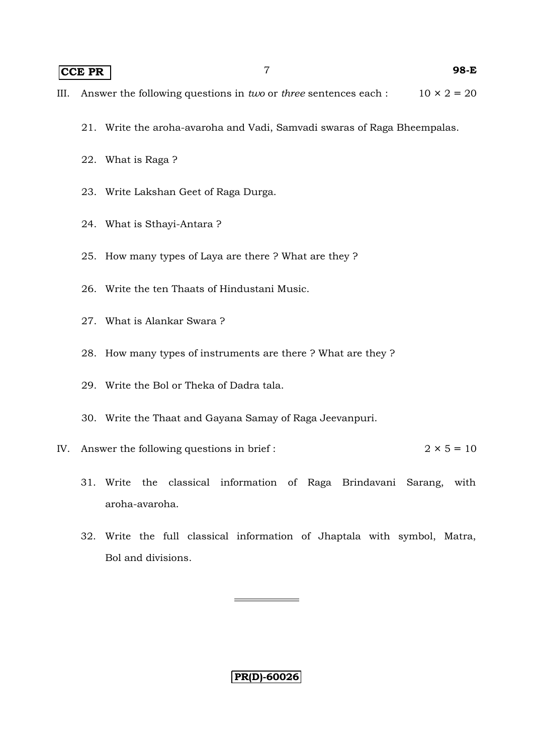## **CCE PR** 7 **98-E**

- 21. Write the aroha-avaroha and Vadi, Samvadi swaras of Raga Bheempalas.
- 22. What is Raga ?
- 23. Write Lakshan Geet of Raga Durga.
- 24. What is Sthayi-Antara ?
- 25. How many types of Laya are there ? What are they ?
- 26. Write the ten Thaats of Hindustani Music.
- 27. What is Alankar Swara ?
- 28. How many types of instruments are there ? What are they ?
- 29. Write the Bol or Theka of Dadra tala.
- 30. Write the Thaat and Gayana Samay of Raga Jeevanpuri.
- IV. Answer the following questions in brief :  $2 \times 5 = 10$ 
	- 31. Write the classical information of Raga Brindavani Sarang, with aroha-avaroha.
	- 32. Write the full classical information of Jhaptala with symbol, Matra, Bol and divisions.